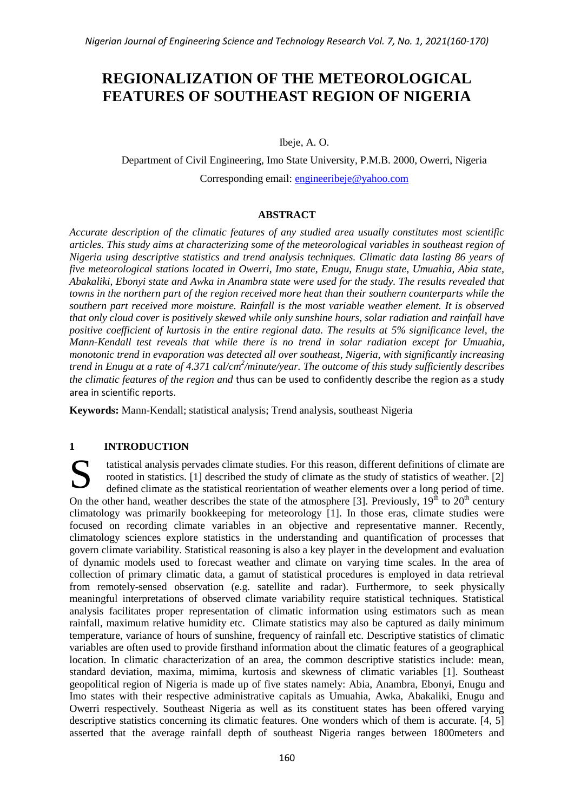# **REGIONALIZATION OF THE METEOROLOGICAL FEATURES OF SOUTHEAST REGION OF NIGERIA**

Ibeje, A. O.

Department of Civil Engineering, Imo State University, P.M.B. 2000, Owerri, Nigeria Corresponding email: [engineeribeje@yahoo.com](mailto:engineeribeje@yahoo.com)

## **ABSTRACT**

*Accurate description of the climatic features of any studied area usually constitutes most scientific articles. This study aims at characterizing some of the meteorological variables in southeast region of Nigeria using descriptive statistics and trend analysis techniques. Climatic data lasting 86 years of five meteorological stations located in Owerri, Imo state, Enugu, Enugu state, Umuahia, Abia state, Abakaliki, Ebonyi state and Awka in Anambra state were used for the study. The results revealed that towns in the northern part of the region received more heat than their southern counterparts while the southern part received more moisture. Rainfall is the most variable weather element. It is observed that only cloud cover is positively skewed while only sunshine hours, solar radiation and rainfall have positive coefficient of kurtosis in the entire regional data. The results at 5% significance level, the Mann-Kendall test reveals that while there is no trend in solar radiation except for Umuahia, monotonic trend in evaporation was detected all over southeast, Nigeria, with significantly increasing trend in Enugu at a rate of 4.371 cal/cm<sup>2</sup> /minute/year. The outcome of this study sufficiently describes the climatic features of the region and* thus can be used to confidently describe the region as a study area in scientific reports.

**Keywords:** Mann-Kendall; statistical analysis; Trend analysis, southeast Nigeria

## **1 INTRODUCTION**

tatistical analysis pervades climate studies. For this reason, different definitions of climate are rooted in statistics. [1] described the study of climate as the study of statistics of weather. [2] defined climate as the statistical reorientation of weather elements over a long period of time. On the other hand, weather describes the state of the atmosphere [3]. Previously,  $19<sup>th</sup>$  to  $20<sup>th</sup>$  century climatology was primarily bookkeeping for meteorology [1]. In those eras, climate studies were focused on recording climate variables in an objective and representative manner. Recently, climatology sciences explore statistics in the understanding and quantification of processes that govern climate variability. Statistical reasoning is also a key player in the development and evaluation of dynamic models used to forecast weather and climate on varying time scales. In the area of collection of primary climatic data, a gamut of statistical procedures is employed in data retrieval from remotely-sensed observation (e.g. satellite and radar). Furthermore, to seek physically meaningful interpretations of observed climate variability require statistical techniques. Statistical analysis facilitates proper representation of climatic information using estimators such as mean rainfall, maximum relative humidity etc. Climate statistics may also be captured as daily minimum temperature, variance of hours of sunshine, frequency of rainfall etc. Descriptive statistics of climatic variables are often used to provide firsthand information about the climatic features of a geographical location. In climatic characterization of an area, the common descriptive statistics include: mean, standard deviation, maxima, mimima, kurtosis and skewness of climatic variables [1]. Southeast geopolitical region of Nigeria is made up of five states namely: Abia, Anambra, Ebonyi, Enugu and Imo states with their respective administrative capitals as Umuahia, Awka, Abakaliki, Enugu and Owerri respectively. Southeast Nigeria as well as its constituent states has been offered varying descriptive statistics concerning its climatic features. One wonders which of them is accurate. [4, 5] asserted that the average rainfall depth of southeast Nigeria ranges between 1800meters and S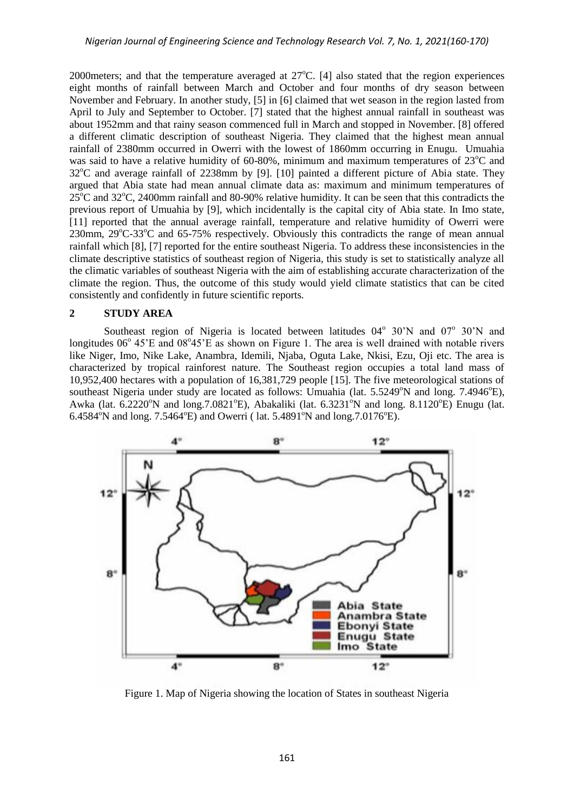2000 meters; and that the temperature averaged at  $27^{\circ}$ C. [4] also stated that the region experiences eight months of rainfall between March and October and four months of dry season between November and February. In another study, [5] in [6] claimed that wet season in the region lasted from April to July and September to October. [7] stated that the highest annual rainfall in southeast was about 1952mm and that rainy season commenced full in March and stopped in November. [8] offered a different climatic description of southeast Nigeria. They claimed that the highest mean annual rainfall of 2380mm occurred in Owerri with the lowest of 1860mm occurring in Enugu. Umuahia was said to have a relative humidity of  $60-80\%$ , minimum and maximum temperatures of  $23^{\circ}$ C and  $32^{\circ}$ C and average rainfall of 2238mm by [9]. [10] painted a different picture of Abia state. They argued that Abia state had mean annual climate data as: maximum and minimum temperatures of  $25^{\circ}$ C and  $32^{\circ}$ C, 2400mm rainfall and 80-90% relative humidity. It can be seen that this contradicts the previous report of Umuahia by [9], which incidentally is the capital city of Abia state. In Imo state, [11] reported that the annual average rainfall, temperature and relative humidity of Owerri were 230mm,  $29^{\circ}$ C-33 $^{\circ}$ C and 65-75% respectively. Obviously this contradicts the range of mean annual rainfall which [8], [7] reported for the entire southeast Nigeria. To address these inconsistencies in the climate descriptive statistics of southeast region of Nigeria, this study is set to statistically analyze all the climatic variables of southeast Nigeria with the aim of establishing accurate characterization of the climate the region. Thus, the outcome of this study would yield climate statistics that can be cited consistently and confidently in future scientific reports.

## **2 STUDY AREA**

Southeast region of Nigeria is located between latitudes  $04^{\circ}$  30'N and  $07^{\circ}$  30'N and longitudes  $06^{\circ}$  45'E and  $08^{\circ}45'E$  as shown on Figure 1. The area is well drained with notable rivers like Niger, Imo, Nike Lake, Anambra, Idemili, Njaba, Oguta Lake, Nkisi, Ezu, Oji etc. The area is characterized by tropical rainforest nature. The Southeast region occupies a total land mass of 10,952,400 hectares with a population of 16,381,729 people [15]. The five meteorological stations of southeast Nigeria under study are located as follows: Umuahia (lat.  $5.5249^{\circ}$ N and long.  $7.4946^{\circ}$ E), Awka (lat.  $6.2220^{\circ}$ N and long.  $7.0821^{\circ}$ E), Abakaliki (lat.  $6.3231^{\circ}$ N and long.  $8.1120^{\circ}$ E) Enugu (lat. 6.4584°N and long. 7.5464°E) and Owerri (1at. 5.4891°N and long. 7.0176°E).



Figure 1. Map of Nigeria showing the location of States in southeast Nigeria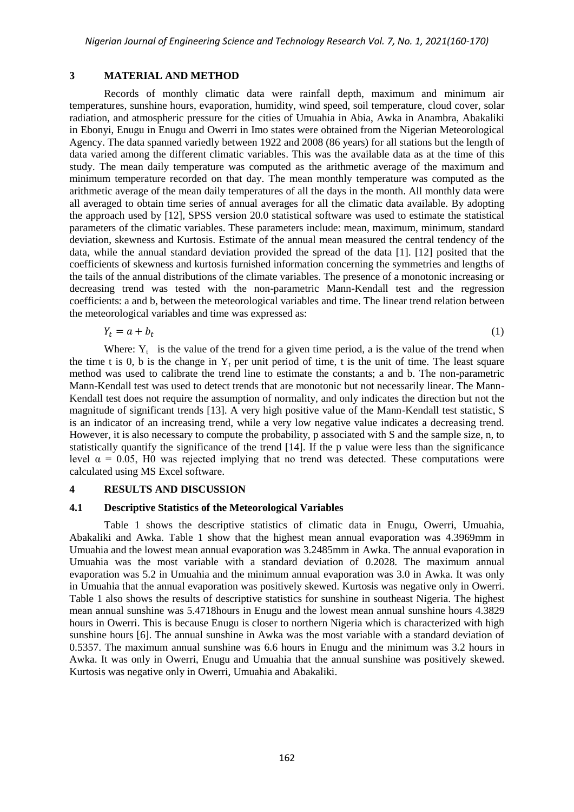#### **3 MATERIAL AND METHOD**

Records of monthly climatic data were rainfall depth, maximum and minimum air temperatures, sunshine hours, evaporation, humidity, wind speed, soil temperature, cloud cover, solar radiation, and atmospheric pressure for the cities of Umuahia in Abia, Awka in Anambra, Abakaliki in Ebonyi, Enugu in Enugu and Owerri in Imo states were obtained from the Nigerian Meteorological Agency. The data spanned variedly between 1922 and 2008 (86 years) for all stations but the length of data varied among the different climatic variables. This was the available data as at the time of this study. The mean daily temperature was computed as the arithmetic average of the maximum and minimum temperature recorded on that day. The mean monthly temperature was computed as the arithmetic average of the mean daily temperatures of all the days in the month. All monthly data were all averaged to obtain time series of annual averages for all the climatic data available. By adopting the approach used by [12], SPSS version 20.0 statistical software was used to estimate the statistical parameters of the climatic variables. These parameters include: mean, maximum, minimum, standard deviation, skewness and Kurtosis. Estimate of the annual mean measured the central tendency of the data, while the annual standard deviation provided the spread of the data [1]. [12] posited that the coefficients of skewness and kurtosis furnished information concerning the symmetries and lengths of the tails of the annual distributions of the climate variables. The presence of a monotonic increasing or decreasing trend was tested with the non-parametric Mann-Kendall test and the regression coefficients: a and b, between the meteorological variables and time. The linear trend relation between the meteorological variables and time was expressed as:

$$
Y_t = a + b_t \tag{1}
$$

Where:  $Y_t$  is the value of the trend for a given time period, a is the value of the trend when the time t is 0, b is the change in  $Y_t$  per unit period of time, t is the unit of time. The least square method was used to calibrate the trend line to estimate the constants; a and b. The non-parametric Mann-Kendall test was used to detect trends that are monotonic but not necessarily linear. The Mann-Kendall test does not require the assumption of normality, and only indicates the direction but not the magnitude of significant trends [13]. A very high positive value of the Mann-Kendall test statistic, S is an indicator of an increasing trend, while a very low negative value indicates a decreasing trend. However, it is also necessary to compute the probability, p associated with S and the sample size, n, to statistically quantify the significance of the trend [14]. If the p value were less than the significance level  $α = 0.05$ , H0 was rejected implying that no trend was detected. These computations were calculated using MS Excel software.

#### **4 RESULTS AND DISCUSSION**

#### **4.1 Descriptive Statistics of the Meteorological Variables**

Table 1 shows the descriptive statistics of climatic data in Enugu, Owerri, Umuahia, Abakaliki and Awka. Table 1 show that the highest mean annual evaporation was 4.3969mm in Umuahia and the lowest mean annual evaporation was 3.2485mm in Awka. The annual evaporation in Umuahia was the most variable with a standard deviation of 0.2028. The maximum annual evaporation was 5.2 in Umuahia and the minimum annual evaporation was 3.0 in Awka. It was only in Umuahia that the annual evaporation was positively skewed. Kurtosis was negative only in Owerri. Table 1 also shows the results of descriptive statistics for sunshine in southeast Nigeria. The highest mean annual sunshine was 5.4718hours in Enugu and the lowest mean annual sunshine hours 4.3829 hours in Owerri. This is because Enugu is closer to northern Nigeria which is characterized with high sunshine hours [6]. The annual sunshine in Awka was the most variable with a standard deviation of 0.5357. The maximum annual sunshine was 6.6 hours in Enugu and the minimum was 3.2 hours in Awka. It was only in Owerri, Enugu and Umuahia that the annual sunshine was positively skewed. Kurtosis was negative only in Owerri, Umuahia and Abakaliki.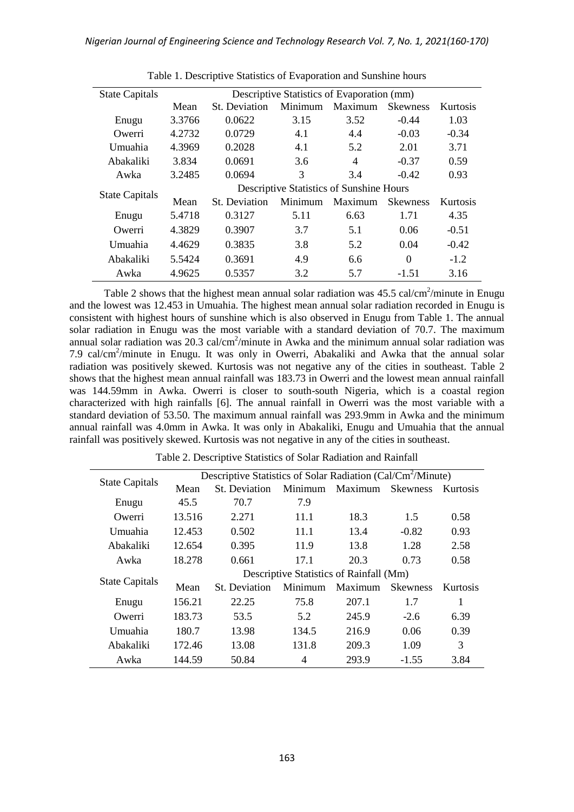| <b>State Capitals</b> | Descriptive Statistics of Evaporation (mm) |                      |         |                |                 |          |  |  |
|-----------------------|--------------------------------------------|----------------------|---------|----------------|-----------------|----------|--|--|
|                       | Mean                                       | <b>St.</b> Deviation | Minimum | Maximum        | <b>Skewness</b> | Kurtosis |  |  |
| Enugu                 | 3.3766                                     | 0.0622               | 3.15    | 3.52           | $-0.44$         | 1.03     |  |  |
| Owerri                | 4.2732                                     | 0.0729               | 4.1     | 4.4            | $-0.03$         | $-0.34$  |  |  |
| Umuahia               | 4.3969                                     | 0.2028               | 4.1     | 5.2            | 2.01            | 3.71     |  |  |
| Abakaliki             | 3.834                                      | 0.0691               | 3.6     | $\overline{4}$ | $-0.37$         | 0.59     |  |  |
| Awka                  | 3.2485                                     | 0.0694               | 3       | 3.4            | $-0.42$         | 0.93     |  |  |
|                       | Descriptive Statistics of Sunshine Hours   |                      |         |                |                 |          |  |  |
| <b>State Capitals</b> | Mean                                       | St. Deviation        | Minimum | Maximum        | <b>Skewness</b> | Kurtosis |  |  |
| Enugu                 | 5.4718                                     | 0.3127               | 5.11    | 6.63           | 1.71            | 4.35     |  |  |
| Owerri                | 4.3829                                     | 0.3907               | 3.7     | 5.1            | 0.06            | $-0.51$  |  |  |
| Umuahia               | 4.4629                                     | 0.3835               | 3.8     | 5.2            | 0.04            | $-0.42$  |  |  |
| Abakaliki             | 5.5424                                     | 0.3691               | 4.9     | 6.6            | $\theta$        | $-1.2$   |  |  |
| Awka                  | 4.9625                                     | 0.5357               | 3.2     | 5.7            | $-1.51$         | 3.16     |  |  |

Table 1. Descriptive Statistics of Evaporation and Sunshine hours

Table 2 shows that the highest mean annual solar radiation was  $45.5$  cal/cm<sup>2</sup>/minute in Enugu and the lowest was 12.453 in Umuahia. The highest mean annual solar radiation recorded in Enugu is consistent with highest hours of sunshine which is also observed in Enugu from Table 1. The annual solar radiation in Enugu was the most variable with a standard deviation of 70.7. The maximum annual solar radiation was  $20.3 \text{ cal/cm}^2/\text{minute}$  in Awka and the minimum annual solar radiation was 7.9 cal/cm<sup>2</sup>/minute in Enugu. It was only in Owerri, Abakaliki and Awka that the annual solar radiation was positively skewed. Kurtosis was not negative any of the cities in southeast. Table 2 shows that the highest mean annual rainfall was 183.73 in Owerri and the lowest mean annual rainfall was 144.59mm in Awka. Owerri is closer to south-south Nigeria, which is a coastal region characterized with high rainfalls [6]. The annual rainfall in Owerri was the most variable with a standard deviation of 53.50. The maximum annual rainfall was 293.9mm in Awka and the minimum annual rainfall was 4.0mm in Awka. It was only in Abakaliki, Enugu and Umuahia that the annual rainfall was positively skewed. Kurtosis was not negative in any of the cities in southeast.

| <b>State Capitals</b> | Descriptive Statistics of Solar Radiation (Cal/Cm <sup>2</sup> /Minute) |               |         |         |                 |          |  |  |
|-----------------------|-------------------------------------------------------------------------|---------------|---------|---------|-----------------|----------|--|--|
|                       | Mean                                                                    | St. Deviation | Minimum | Maximum | <b>Skewness</b> | Kurtosis |  |  |
| Enugu                 | 45.5                                                                    | 70.7          | 7.9     |         |                 |          |  |  |
| Owerri                | 13.516                                                                  | 2.271         | 11.1    | 18.3    | 1.5             | 0.58     |  |  |
| Umuahia               | 12.453                                                                  | 0.502         | 11.1    | 13.4    | $-0.82$         | 0.93     |  |  |
| Abakaliki             | 12.654                                                                  | 0.395         | 11.9    | 13.8    | 1.28            | 2.58     |  |  |
| Awka                  | 18.278                                                                  | 0.661         | 17.1    | 20.3    | 0.73            | 0.58     |  |  |
|                       | Descriptive Statistics of Rainfall (Mm)                                 |               |         |         |                 |          |  |  |
| <b>State Capitals</b> | Mean                                                                    | St. Deviation | Minimum | Maximum | <b>Skewness</b> | Kurtosis |  |  |
| Enugu                 | 156.21                                                                  | 22.25         | 75.8    | 207.1   | 1.7             | 1        |  |  |
| Owerri                | 183.73                                                                  | 53.5          | 5.2     | 245.9   | $-2.6$          | 6.39     |  |  |
| Umuahia               | 180.7                                                                   | 13.98         | 134.5   | 216.9   | 0.06            | 0.39     |  |  |
| Abakaliki             | 172.46                                                                  | 13.08         | 131.8   | 209.3   | 1.09            | 3        |  |  |
| Awka                  | 144.59                                                                  | 50.84         | 4       | 293.9   | $-1.55$         | 3.84     |  |  |

Table 2. Descriptive Statistics of Solar Radiation and Rainfall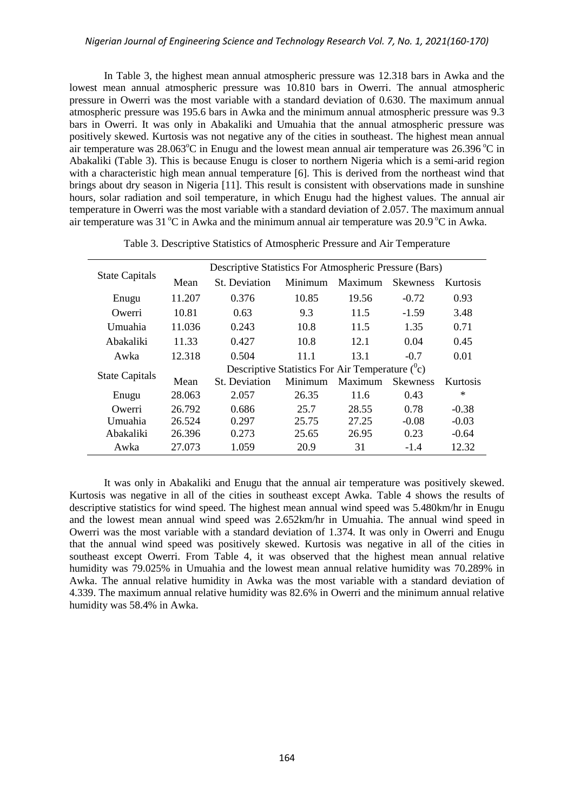#### *Nigerian Journal of Engineering Science and Technology Research Vol. 7, No. 1, 2021(160-170)*

In Table 3, the highest mean annual atmospheric pressure was 12.318 bars in Awka and the lowest mean annual atmospheric pressure was 10.810 bars in Owerri. The annual atmospheric pressure in Owerri was the most variable with a standard deviation of 0.630. The maximum annual atmospheric pressure was 195.6 bars in Awka and the minimum annual atmospheric pressure was 9.3 bars in Owerri. It was only in Abakaliki and Umuahia that the annual atmospheric pressure was positively skewed. Kurtosis was not negative any of the cities in southeast. The highest mean annual air temperature was 28.063 $^{\circ}$ C in Enugu and the lowest mean annual air temperature was 26.396 $^{\circ}$ C in Abakaliki (Table 3). This is because Enugu is closer to northern Nigeria which is a semi-arid region with a characteristic high mean annual temperature [6]. This is derived from the northeast wind that brings about dry season in Nigeria [11]. This result is consistent with observations made in sunshine hours, solar radiation and soil temperature, in which Enugu had the highest values. The annual air temperature in Owerri was the most variable with a standard deviation of 2.057. The maximum annual air temperature was  $31^{\circ}$ C in Awka and the minimum annual air temperature was  $20.9^{\circ}$ C in Awka.

|                       |                                                    | Descriptive Statistics For Atmospheric Pressure (Bars) |         |         |                 |          |  |  |
|-----------------------|----------------------------------------------------|--------------------------------------------------------|---------|---------|-----------------|----------|--|--|
| <b>State Capitals</b> | Mean                                               | <b>St.</b> Deviation                                   | Minimum | Maximum | <b>Skewness</b> | Kurtosis |  |  |
| Enugu                 | 11.207                                             | 0.376                                                  | 10.85   | 19.56   | $-0.72$         | 0.93     |  |  |
| Owerri                | 10.81                                              | 0.63                                                   | 9.3     | 11.5    | $-1.59$         | 3.48     |  |  |
| Umuahia               | 11.036                                             | 0.243                                                  | 10.8    | 11.5    | 1.35            | 0.71     |  |  |
| Abakaliki             | 11.33                                              | 0.427                                                  | 10.8    | 12.1    | 0.04            | 0.45     |  |  |
| Awka                  | 12.318                                             | 0.504                                                  | 11.1    | 13.1    | $-0.7$          | 0.01     |  |  |
|                       | Descriptive Statistics For Air Temperature $(^0c)$ |                                                        |         |         |                 |          |  |  |
| <b>State Capitals</b> | Mean                                               | <b>St.</b> Deviation                                   | Minimum | Maximum | <b>Skewness</b> | Kurtosis |  |  |
| Enugu                 | 28.063                                             | 2.057                                                  | 26.35   | 11.6    | 0.43            | $\ast$   |  |  |
| Owerri                | 26.792                                             | 0.686                                                  | 25.7    | 28.55   | 0.78            | $-0.38$  |  |  |
| Umuahia               | 26.524                                             | 0.297                                                  | 25.75   | 27.25   | $-0.08$         | $-0.03$  |  |  |
| Abakaliki             | 26.396                                             | 0.273                                                  | 25.65   | 26.95   | 0.23            | $-0.64$  |  |  |
| Awka                  | 27.073                                             | 1.059                                                  | 20.9    | 31      | $-1.4$          | 12.32    |  |  |

Table 3. Descriptive Statistics of Atmospheric Pressure and Air Temperature

It was only in Abakaliki and Enugu that the annual air temperature was positively skewed. Kurtosis was negative in all of the cities in southeast except Awka. Table 4 shows the results of descriptive statistics for wind speed. The highest mean annual wind speed was 5.480km/hr in Enugu and the lowest mean annual wind speed was 2.652km/hr in Umuahia. The annual wind speed in Owerri was the most variable with a standard deviation of 1.374. It was only in Owerri and Enugu that the annual wind speed was positively skewed. Kurtosis was negative in all of the cities in southeast except Owerri. From Table 4, it was observed that the highest mean annual relative humidity was 79.025% in Umuahia and the lowest mean annual relative humidity was 70.289% in Awka. The annual relative humidity in Awka was the most variable with a standard deviation of 4.339. The maximum annual relative humidity was 82.6% in Owerri and the minimum annual relative humidity was 58.4% in Awka.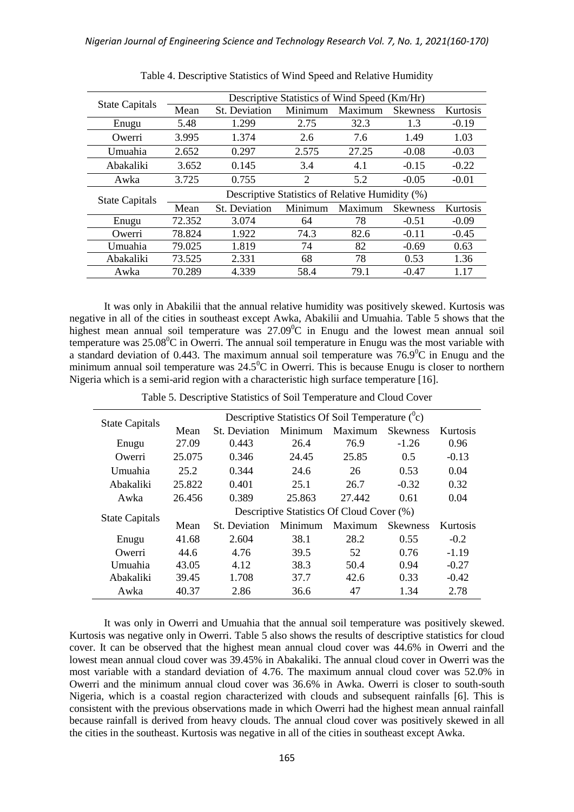|                       |                                                 |               |         | Descriptive Statistics of Wind Speed (Km/Hr) |                 |          |  |  |
|-----------------------|-------------------------------------------------|---------------|---------|----------------------------------------------|-----------------|----------|--|--|
| <b>State Capitals</b> | Mean                                            | St. Deviation | Minimum | Maximum                                      | <b>Skewness</b> | Kurtosis |  |  |
| Enugu                 | 5.48                                            | 1.299         | 2.75    | 32.3                                         | 1.3             | $-0.19$  |  |  |
| Owerri                | 3.995                                           | 1.374         | 2.6     | 7.6                                          | 1.49            | 1.03     |  |  |
| Umuahia               | 2.652                                           | 0.297         | 2.575   | 27.25                                        | $-0.08$         | $-0.03$  |  |  |
| Abakaliki             | 3.652                                           | 0.145         | 3.4     | 4.1                                          | $-0.15$         | $-0.22$  |  |  |
| Awka                  | 3.725                                           | 0.755         | 2       | 5.2                                          | $-0.05$         | $-0.01$  |  |  |
| <b>State Capitals</b> | Descriptive Statistics of Relative Humidity (%) |               |         |                                              |                 |          |  |  |
|                       | Mean                                            | St. Deviation | Minimum | Maximum                                      | <b>Skewness</b> | Kurtosis |  |  |
| Enugu                 | 72.352                                          | 3.074         | 64      | 78                                           | $-0.51$         | $-0.09$  |  |  |
| Owerri                | 78.824                                          | 1.922         | 74.3    | 82.6                                         | $-0.11$         | $-0.45$  |  |  |
| Umuahia               | 79.025                                          | 1.819         | 74      | 82                                           | $-0.69$         | 0.63     |  |  |
| Abakaliki             | 73.525                                          | 2.331         | 68      | 78                                           | 0.53            | 1.36     |  |  |
| Awka                  | 70.289                                          | 4.339         | 58.4    | 79.1                                         | $-0.47$         | 1.17     |  |  |

Table 4. Descriptive Statistics of Wind Speed and Relative Humidity

It was only in Abakilii that the annual relative humidity was positively skewed. Kurtosis was negative in all of the cities in southeast except Awka, Abakilii and Umuahia. Table 5 shows that the highest mean annual soil temperature was  $27.09^{\circ}$ C in Enugu and the lowest mean annual soil temperature was  $25.08^{\circ}$ C in Owerri. The annual soil temperature in Enugu was the most variable with a standard deviation of 0.443. The maximum annual soil temperature was  $76.9^{\circ}$ C in Enugu and the minimum annual soil temperature was  $24.5^{\circ}$ C in Owerri. This is because Enugu is closer to northern Nigeria which is a semi-arid region with a characteristic high surface temperature [16].

Table 5. Descriptive Statistics of Soil Temperature and Cloud Cover

| <b>State Capitals</b> | Descriptive Statistics Of Soil Temperature $(^0c)$ |                      |         |         |                 |          |  |  |
|-----------------------|----------------------------------------------------|----------------------|---------|---------|-----------------|----------|--|--|
|                       | Mean                                               | <b>St.</b> Deviation | Minimum | Maximum | <b>Skewness</b> | Kurtosis |  |  |
| Enugu                 | 27.09                                              | 0.443                | 26.4    | 76.9    | $-1.26$         | 0.96     |  |  |
| Owerri                | 25.075                                             | 0.346                | 24.45   | 25.85   | 0.5             | $-0.13$  |  |  |
| Umuahia               | 25.2                                               | 0.344                | 24.6    | 26      | 0.53            | 0.04     |  |  |
| Abakaliki             | 25.822                                             | 0.401                | 25.1    | 26.7    | $-0.32$         | 0.32     |  |  |
| Awka                  | 26.456                                             | 0.389                | 25.863  | 27.442  | 0.61            | 0.04     |  |  |
| <b>State Capitals</b> | Descriptive Statistics Of Cloud Cover (%)          |                      |         |         |                 |          |  |  |
|                       | Mean                                               | St. Deviation        | Minimum | Maximum | <b>Skewness</b> | Kurtosis |  |  |
| Enugu                 | 41.68                                              | 2.604                | 38.1    | 28.2    | 0.55            | $-0.2$   |  |  |
| Owerri                | 44.6                                               | 4.76                 | 39.5    | 52      | 0.76            | $-1.19$  |  |  |
| Umuahia               | 43.05                                              | 4.12                 | 38.3    | 50.4    | 0.94            | $-0.27$  |  |  |
| Abakaliki             | 39.45                                              | 1.708                | 37.7    | 42.6    | 0.33            | $-0.42$  |  |  |
| Awka                  | 40.37                                              | 2.86                 | 36.6    | 47      | 1.34            | 2.78     |  |  |

It was only in Owerri and Umuahia that the annual soil temperature was positively skewed. Kurtosis was negative only in Owerri. Table 5 also shows the results of descriptive statistics for cloud cover. It can be observed that the highest mean annual cloud cover was 44.6% in Owerri and the lowest mean annual cloud cover was 39.45% in Abakaliki. The annual cloud cover in Owerri was the most variable with a standard deviation of 4.76. The maximum annual cloud cover was 52.0% in Owerri and the minimum annual cloud cover was 36.6% in Awka. Owerri is closer to south-south Nigeria, which is a coastal region characterized with clouds and subsequent rainfalls [6]. This is consistent with the previous observations made in which Owerri had the highest mean annual rainfall because rainfall is derived from heavy clouds. The annual cloud cover was positively skewed in all the cities in the southeast. Kurtosis was negative in all of the cities in southeast except Awka.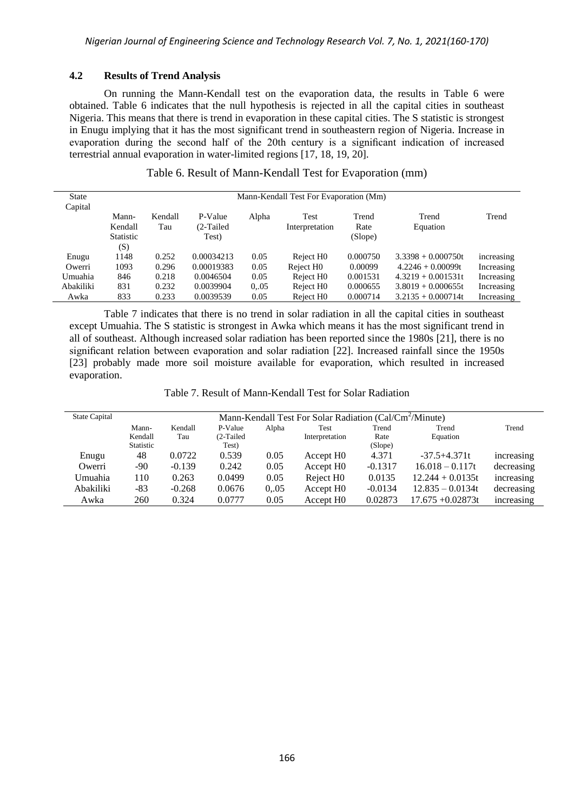## **4.2 Results of Trend Analysis**

On running the Mann-Kendall test on the evaporation data, the results in Table 6 were obtained. Table 6 indicates that the null hypothesis is rejected in all the capital cities in southeast Nigeria. This means that there is trend in evaporation in these capital cities. The S statistic is strongest in Enugu implying that it has the most significant trend in southeastern region of Nigeria. Increase in evaporation during the second half of the 20th century is a significant indication of increased terrestrial annual evaporation in water-limited regions [17, 18, 19, 20].

| Table 6. Result of Mann-Kendall Test for Evaporation (mm) |  |  |
|-----------------------------------------------------------|--|--|
|-----------------------------------------------------------|--|--|

| State     |                  |         |            |       | Mann-Kendall Test For Evaporation (Mm) |          |                      |            |
|-----------|------------------|---------|------------|-------|----------------------------------------|----------|----------------------|------------|
| Capital   |                  |         |            |       |                                        |          |                      |            |
|           | Mann-            | Kendall | P-Value    | Alpha | Test                                   | Trend    | Trend                | Trend      |
|           | Kendall          | Tau     | (2-Tailed) |       | Interpretation                         | Rate     | Equation             |            |
|           | <b>Statistic</b> |         | Test)      |       |                                        | (Slope)  |                      |            |
|           | (S)              |         |            |       |                                        |          |                      |            |
| Enugu     | 1148             | 0.252   | 0.00034213 | 0.05  | Reject H <sub>0</sub>                  | 0.000750 | $3.3398 + 0.000750t$ | increasing |
| Owerri    | 1093             | 0.296   | 0.00019383 | 0.05  | Reject H <sub>0</sub>                  | 0.00099  | $4.2246 + 0.00099t$  | Increasing |
| Umuahia   | 846              | 0.218   | 0.0046504  | 0.05  | Reject H <sub>0</sub>                  | 0.001531 | $4.3219 + 0.001531t$ | Increasing |
| Abakiliki | 831              | 0.232   | 0.0039904  | 0.05  | Reject H <sub>0</sub>                  | 0.000655 | $3.8019 + 0.000655t$ | Increasing |
| Awka      | 833              | 0.233   | 0.0039539  | 0.05  | Reject H <sub>0</sub>                  | 0.000714 | $3.2135 + 0.000714t$ | Increasing |

Table 7 indicates that there is no trend in solar radiation in all the capital cities in southeast except Umuahia. The S statistic is strongest in Awka which means it has the most significant trend in all of southeast. Although increased solar radiation has been reported since the 1980s [21], there is no significant relation between evaporation and solar radiation [22]. Increased rainfall since the 1950s [23] probably made more soil moisture available for evaporation, which resulted in increased evaporation.

Table 7. Result of Mann-Kendall Test for Solar Radiation

| <b>State Capital</b> |           | Mann-Kendall Test For Solar Radiation (Cal/Cm <sup>-</sup> /Minute) |           |       |                       |           |                     |            |  |
|----------------------|-----------|---------------------------------------------------------------------|-----------|-------|-----------------------|-----------|---------------------|------------|--|
|                      | Mann-     | Kendall                                                             | P-Value   | Alpha | Test                  | Trend     | Trend               | Trend      |  |
|                      | Kendall   | Tau                                                                 | (2-Tailed |       | Interpretation        | Rate      | Equation            |            |  |
|                      | Statistic |                                                                     | Test)     |       |                       | (Slope)   |                     |            |  |
| Enugu                | 48        | 0.0722                                                              | 0.539     | 0.05  | Accept H <sub>0</sub> | 4.371     | $-37.5 + 4.371t$    | increasing |  |
| Owerri               | -90       | $-0.139$                                                            | 0.242     | 0.05  | Accept H <sub>0</sub> | $-0.1317$ | $16.018 - 0.117t$   | decreasing |  |
| Umuahia              | 110       | 0.263                                                               | 0.0499    | 0.05  | Reject H <sub>0</sub> | 0.0135    | $12.244 + 0.0135t$  | increasing |  |
| Abakiliki            | -83       | $-0.268$                                                            | 0.0676    | 0.05  | Accept H <sub>0</sub> | $-0.0134$ | $12.835 - 0.0134t$  | decreasing |  |
| Awka                 | 260       | 0.324                                                               | 0.0777    | 0.05  | Accept H <sub>0</sub> | 0.02873   | $17.675 + 0.02873t$ | increasing |  |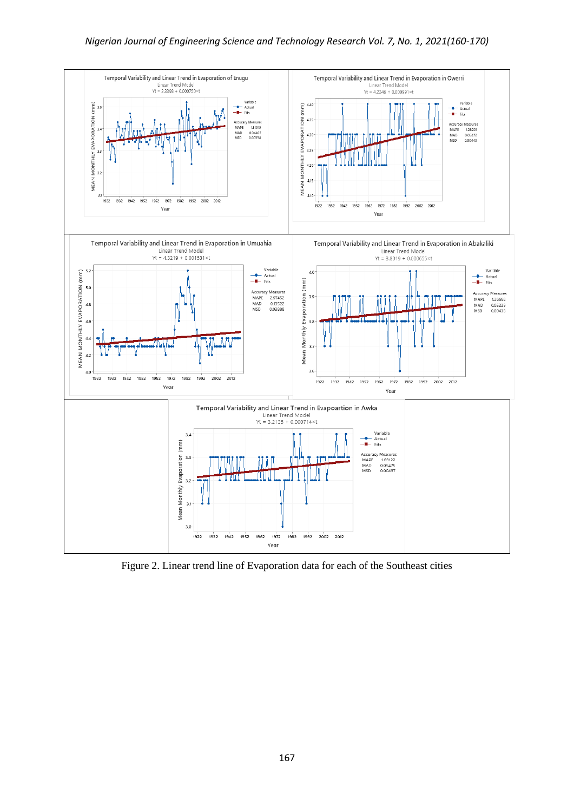## *Nigerian Journal of Engineering Science and Technology Research Vol. 7, No. 1, 2021(160-170)*



Figure 2. Linear trend line of Evaporation data for each of the Southeast cities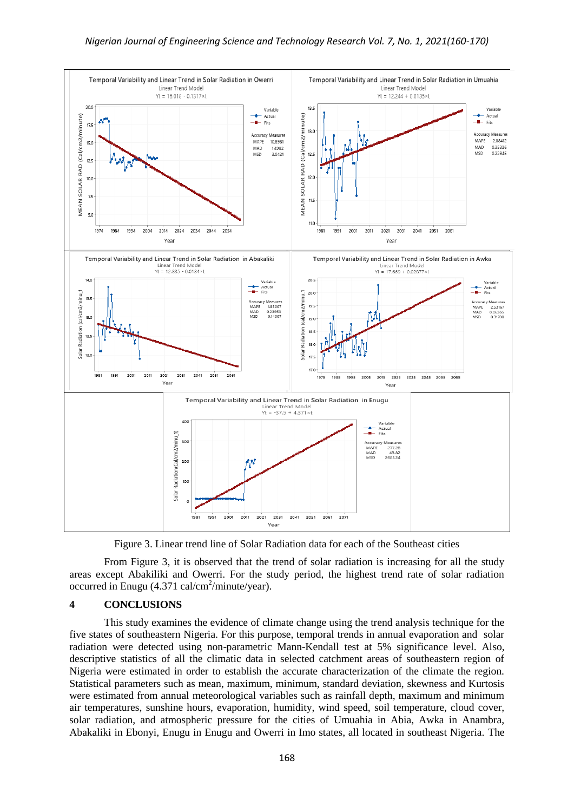

Figure 3. Linear trend line of Solar Radiation data for each of the Southeast cities

From Figure 3, it is observed that the trend of solar radiation is increasing for all the study areas except Abakiliki and Owerri. For the study period, the highest trend rate of solar radiation occurred in Enugu (4.371 cal/cm<sup>2</sup>/minute/year).

#### **4 CONCLUSIONS**

This study examines the evidence of climate change using the trend analysis technique for the five states of southeastern Nigeria. For this purpose, temporal trends in annual evaporation and solar radiation were detected using non-parametric Mann-Kendall test at 5% significance level. Also, descriptive statistics of all the climatic data in selected catchment areas of southeastern region of Nigeria were estimated in order to establish the accurate characterization of the climate the region. Statistical parameters such as mean, maximum, minimum, standard deviation, skewness and Kurtosis were estimated from annual meteorological variables such as rainfall depth, maximum and minimum air temperatures, sunshine hours, evaporation, humidity, wind speed, soil temperature, cloud cover, solar radiation, and atmospheric pressure for the cities of Umuahia in Abia, Awka in Anambra, Abakaliki in Ebonyi, Enugu in Enugu and Owerri in Imo states, all located in southeast Nigeria. The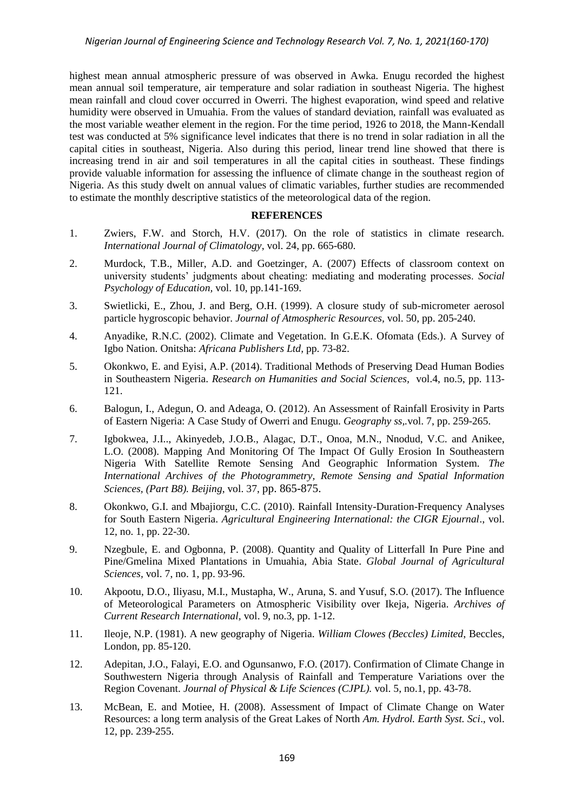highest mean annual atmospheric pressure of was observed in Awka. Enugu recorded the highest mean annual soil temperature, air temperature and solar radiation in southeast Nigeria. The highest mean rainfall and cloud cover occurred in Owerri. The highest evaporation, wind speed and relative humidity were observed in Umuahia. From the values of standard deviation, rainfall was evaluated as the most variable weather element in the region. For the time period, 1926 to 2018, the Mann-Kendall test was conducted at 5% significance level indicates that there is no trend in solar radiation in all the capital cities in southeast, Nigeria. Also during this period, linear trend line showed that there is increasing trend in air and soil temperatures in all the capital cities in southeast. These findings provide valuable information for assessing the influence of climate change in the southeast region of Nigeria. As this study dwelt on annual values of climatic variables, further studies are recommended to estimate the monthly descriptive statistics of the meteorological data of the region.

#### **REFERENCES**

- 1. Zwiers, F.W. and Storch, H.V. (2017). On the role of statistics in climate research. *International Journal of Climatology*, vol. 24, pp. 665-680.
- 2. [Murdock,](https://link.springer.com/article/10.1007/s11218-007-9015-1#auth-Tamera_Burton-Murdock) T.B., [Miller,](https://link.springer.com/article/10.1007/s11218-007-9015-1#auth-Angela_D_-Miller) A.D. and [Goetzinger,](https://link.springer.com/article/10.1007/s11218-007-9015-1#auth-Amy-Goetzinger) A. (2007) Effects of classroom context on university students' judgments about cheating: mediating and moderating processes. *[Social](https://link.springer.com/journal/11218)  [Psychology of Education,](https://link.springer.com/journal/11218)* vol. 10, pp.141-169.
- 3. Swietlicki, E., Zhou, J. and Berg, O.H. (1999). A closure study of sub-micrometer aerosol particle hygroscopic behavior. *Journal of Atmospheric Resources,* vol. 50, pp. 205-240.
- 4. Anyadike, R.N.C. (2002). Climate and Vegetation. In G.E.K. Ofomata (Eds.). A Survey of Igbo Nation. Onitsha: *Africana Publishers Ltd,* pp. 73-82.
- 5. Okonkwo, E. and Eyisi, A.P. (2014). Traditional Methods of Preserving Dead Human Bodies in Southeastern Nigeria. *Research on Humanities and Social Sciences,* vol.4, no.5, pp. 113- 121.
- 6. Balogun, I., Adegun, O. and Adeaga, O. (2012). An Assessment of Rainfall Erosivity in Parts of Eastern Nigeria: A Case Study of Owerri and Enugu. *Geography ss,.*vol. 7, pp. 259-265.
- 7. Igbokwea, J.I.., Akinyedeb, J.O.B., Alagac, D.T., Onoa, M.N., Nnodud, V.C. and Anikee, L.O. (2008). Mapping And Monitoring Of The Impact Of Gully Erosion In Southeastern Nigeria With Satellite Remote Sensing And Geographic Information System. *The International Archives of the Photogrammetry, Remote Sensing and Spatial Information Sciences, (Part B8). Beijing*, vol. 37, pp. 865-875.
- 8. Okonkwo, G.I. and Mbajiorgu, C.C. (2010). Rainfall Intensity-Duration-Frequency Analyses for South Eastern Nigeria. *Agricultural Engineering International: the CIGR Ejournal*., vol. 12, no. 1, pp. 22-30.
- 9. Nzegbule, E. and Ogbonna, P. (2008). Quantity and Quality of Litterfall In Pure Pine and Pine/Gmelina Mixed Plantations in Umuahia, Abia State. *Global Journal of Agricultural Sciences,* vol. 7, no. 1, pp. 93-96.
- 10. Akpootu, D.O., Iliyasu, M.I., Mustapha, W., Aruna, S. and Yusuf, S.O. (2017). The Influence of Meteorological Parameters on Atmospheric Visibility over Ikeja, Nigeria*. Archives of Current Research International,* vol. 9, no.3, pp. 1-12.
- 11. Ileoje, N.P. (1981). A new geography of Nigeria. *William Clowes (Beccles) Limited*, Beccles, London, pp. 85-120.
- 12. Adepitan, J.O., Falayi, E.O. and Ogunsanwo, F.O. (2017). Confirmation of Climate Change in Southwestern Nigeria through Analysis of Rainfall and Temperature Variations over the Region Covenant. *Journal of Physical & Life Sciences (CJPL).* vol. 5, no.1, pp. 43-78.
- 13. McBean, E. and Motiee, H. (2008). Assessment of Impact of Climate Change on Water Resources: a long term analysis of the Great Lakes of North *Am. Hydrol. Earth Syst. Sci*., vol. 12, pp. 239-255.